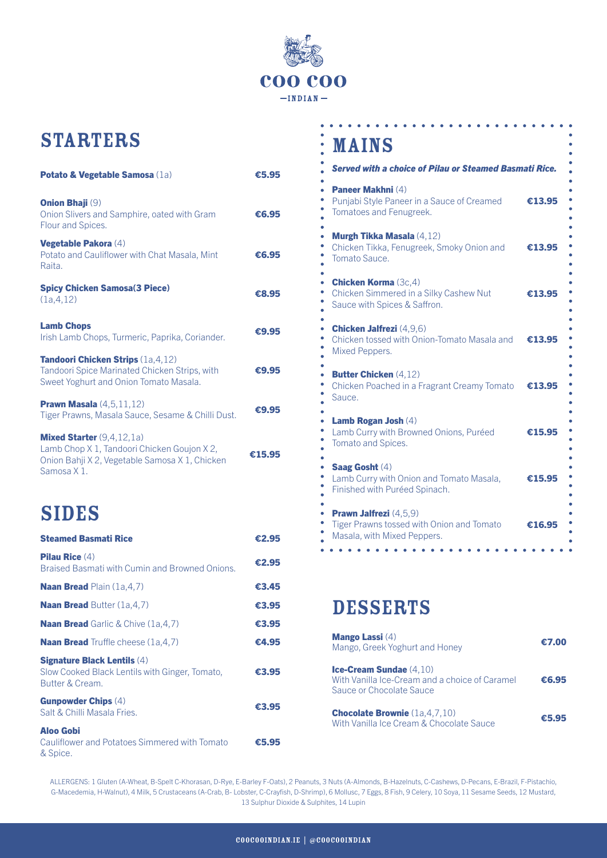

## **STARTERS**

| <b>Potato &amp; Vegetable Samosa (1a)</b>                                                                                                         | €5.95  |
|---------------------------------------------------------------------------------------------------------------------------------------------------|--------|
| <b>Onion Bhaji (9)</b><br>Onion Slivers and Samphire, oated with Gram<br>Flour and Spices.                                                        | €6.95  |
| Vegetable Pakora (4)<br>Potato and Cauliflower with Chat Masala, Mint<br>Raita.                                                                   | €6.95  |
| <b>Spicy Chicken Samosa(3 Piece)</b><br>(1a, 4, 12)                                                                                               | €8.95  |
| <b>Lamb Chops</b><br>Irish Lamb Chops, Turmeric, Paprika, Coriander.                                                                              | €9.95  |
| Tandoori Chicken Strips (1a,4,12)<br>Tandoori Spice Marinated Chicken Strips, with<br>Sweet Yoghurt and Onion Tomato Masala.                      | €9.95  |
| <b>Prawn Masala</b> $(4,5,11,12)$<br>Tiger Prawns, Masala Sauce, Sesame & Chilli Dust.                                                            | €9.95  |
| <b>Mixed Starter</b> $(9,4,12,1a)$<br>Lamb Chop X 1, Tandoori Chicken Goujon X 2,<br>Onion Bahji X 2, Vegetable Samosa X 1, Chicken<br>Samosa X1. | €15.95 |
| <b>SIDES</b>                                                                                                                                      |        |
| <b>Steamed Basmati Rice</b>                                                                                                                       | €2.95  |
| <b>Pilau Rice (4)</b><br>Braised Basmati with Cumin and Browned Onions.                                                                           | €2.95  |
| <b>Naan Bread Plain (1a,4,7)</b>                                                                                                                  | €3.45  |
| <b>Naan Bread Butter (1a,4,7)</b>                                                                                                                 | €3.95  |
| <b>Naan Bread</b> Garlic & Chive (1a,4,7)                                                                                                         | €3.95  |
| <b>Naan Bread</b> Truffle cheese (1a,4,7)                                                                                                         | €4.95  |
| <b>Signature Black Lentils (4)</b><br>Slow Cooked Black Lentils with Ginger, Tomato,<br>Butter & Cream.                                           | €3.95  |
| <b>Gunpowder Chips (4)</b>                                                                                                                        |        |

Aloo Gobi Cauliflower and Potatoes Simmered with Tomato & Spice. **€**5.95

Salt & Chilli Masala Fries. **€**3.95

## **MAINS**

| <b>Served with a choice of Pilau or Steamed Basmati Rice.</b>                                                  |        |
|----------------------------------------------------------------------------------------------------------------|--------|
| Paneer Makhni (4)<br>Punjabi Style Paneer in a Sauce of Creamed<br>Tomatoes and Fenugreek.                     | €13.95 |
| <b>Murgh Tikka Masala (4,12)</b><br>Chicken Tikka, Fenugreek, Smoky Onion and<br>Tomato Sauce.                 | €13.95 |
| <b>Chicken Korma (3c,4)</b><br>Chicken Simmered in a Silky Cashew Nut<br>Sauce with Spices & Saffron.          | €13.95 |
| <b>Chicken Jalfrezi</b> (4,9,6)<br>Chicken tossed with Onion-Tomato Masala and<br>Mixed Peppers.               | €13.95 |
| <b>Butter Chicken (4,12)</b><br>Chicken Poached in a Fragrant Creamy Tomato<br>Sauce.                          | €13.95 |
| Lamb Rogan Josh (4)<br>Lamb Curry with Browned Onions, Puréed<br>Tomato and Spices.                            | €15.95 |
| <b>Saag Gosht (4)</b><br>Lamb Curry with Onion and Tomato Masala,<br>Finished with Puréed Spinach.             | €15.95 |
| <b>Prawn Jalfrezi</b> (4,5,9)<br>Tiger Prawns tossed with Onion and Tomato<br>Masala, with Mixed Peppers.<br>. | €16.95 |

 $\ddot{\phantom{a}}$ 

## DESSERTS

| <b>Mango Lassi</b> (4)<br>Mango, Greek Yoghurt and Honey                                                       | €7.00 |
|----------------------------------------------------------------------------------------------------------------|-------|
| <b>Ice-Cream Sundae</b> $(4,10)$<br>With Vanilla Ice-Cream and a choice of Caramel<br>Sauce or Chocolate Sauce | €6.95 |
| <b>Chocolate Brownie</b> (1a, 4, 7, 10)<br>With Vanilla Ice Cream & Chocolate Sauce                            |       |

ALLERGENS: 1 Gluten (A-Wheat, B-Spelt C-Khorasan, D-Rye, E-Barley F-Oats), 2 Peanuts, 3 Nuts (A-Almonds, B-Hazelnuts, C-Cashews, D-Pecans, E-Brazil, F-Pistachio, G-Macedemia, H-Walnut), 4 Milk, 5 Crustaceans (A-Crab, B- Lobster, C-Crayfish, D-Shrimp), 6 Mollusc, 7 Eggs, 8 Fish, 9 Celery, 10 Soya, 11 Sesame Seeds, 12 Mustard, 13 Sulphur Dioxide & Sulphites, 14 Lupin